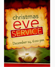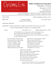$pri\zeta$ fmas  $E$ ve

DECEMBER 24, 2020 | 6PM

## **FIRST CHRISTIAN CHURCH**

(Disciples of Christ) December 24, 2020 Christmas Eve Worship at 6:00 pm

*Diverse in Thought | United in Faith | Called to Serve*

WELCOME **Helen Hempfling and Bruce Ervin** 

PRELUDE Christmas Medley arr. Sondra Tucker Bedford FCC Bell Choir

#### OPENING PRAYER

### LIGHTING OF THE ADVENT CANDLES OF HOPE, PEACE, JOY, & LOVE *(You are invited to light your candles as you worship at home)*

Introit The Father's Love William Roger Price (b. 1955)

Of the Father's Love begotten, ere the worlds began to be; He is Alpha and Omega, he the source, the ending he; Of the things that are, that have been, and that future years shall see Evermore and Evermore.

| Lo, how a Rose e'er blooming   | This flower, whose fragrance tender |
|--------------------------------|-------------------------------------|
| From tender stem hath sprung.  | With sweetness fills the air.       |
| Of Jesse's lineage coming      | Dispels with glorious splendor,     |
| As men of old have sung.       | The darkness everywhere.            |
| It came, a flow'ret bright     | True man but very God,              |
| Amid the cold of winter,       | From sin and death he saves us,     |
| When half-spent was the night. | And lightens every load.            |
|                                |                                     |

Isaiah 'twas foretold it, This is he whom heaven taught singers Sang of old with one accord, Whom the scriptures of the prophets, Promised in their faithful word, Now he shines, the long-expected, Let creation praise its Lord: Evermore and evermore.

 -Aurelius Clemens Prudentius (4th cent.) tr. John Mason German Carol (15th cent.), tr. Theodore Baker, 1894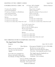#### LIGHTING OF THE CHRIST CANDLE Isaiah 9:2,6

#### CONGREGATIONAL CAROL 148 O Come, All Ye Faithful ADESTE FIDELES

O come, all ye faithful, joyful and triumphant, O come ye, O come ye to Bethlehem; come and behold him, born the King of angels:

Refrain O come, let us adore him, O come, let us adore him, O come, let us adore him, Christ the Lord!

(verses 1, 2, & 4)

Sing, choirs of angels, sing in exultation, sing, all ye citizens of heaven above! Glory to God, all glory in the highest;

Refrain O come, let us adore him, O come, let us adore him, O come, let us adore him, Christ the Lord!

Yea, Lord, we greet thee, born for our salvation, Jesus, to thee be all glory given; Word of the Father, now in flesh appearing:

Refrain O come, let us adore him, O come, let us adore him, O come, let us adore him, Christ the Lord!

#### THE CHRISTMAS STORY IN SCRIPTURE AND SONG

#### **The Angel Gabriel Visits Mary**

There is no rose of such virtue As is the rose that bear Jesu: *Alleluia.*  For in this rose containéd was Heaven and earth in little space: *Res Miranda.* (O thing of Wonder) By that rose we may well see There be one God in Persons Three: *Pares forma.* (Incomparable, perfect form) The Angels sang, the shepherds too: Gloria in Excelsis Deo: *Gaudeamus.* (Let us rejoice) Scripture Luke 1:26-31, 46-48 Carol Rosa Mystica Chrysogonus Waddell, O.C.S.O. (1930-2008)

> Leave we all this worldly mirth And follow we this joyful birth: *Transeamus.* (Let us pass over.) -Medieval Traditional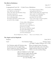#### **The Birth in Bethlehem**

#### Congregational Carol 144 O Little Town of Bethlehem ST. LOUIS

O little town of Bethlehem, how still we see thee lie! Above thy deep and dreamless sleep the silent stars go by. Yet in thy dark streets shineth the everlasting Light; the hopes and fears of all the years are met in thee tonight.

For Christ is born of Mary; and, gathered all above, while mortals sleep, the angels keep their watch of wondering love. O morning stars, together proclaim the holy birth. Your voices raise to God in praise; and peace to all on earth.

O holy child of Bethlehem, descend to us, we pray; cast out our sin, and enter in, be born in us today. We hear the Christmas angels the great glad tidings tell: O come to us, abide with us, our God, Emmanuel.

Words: Phillip Brooks, 1868, alt Music: Lewis H Redner, 1869

#### **The Angels and the Shepherds**

|                                                                                                                                                                            | Scripture                                                                                                                                                     | Luke 2:8-14                                                                                                                                            |  |
|----------------------------------------------------------------------------------------------------------------------------------------------------------------------------|---------------------------------------------------------------------------------------------------------------------------------------------------------------|--------------------------------------------------------------------------------------------------------------------------------------------------------|--|
|                                                                                                                                                                            | Carol<br>On Christmas Night                                                                                                                                   | <b>SUSSEX CAROL</b><br>arr. Ralph Vaughan Williams (1872-1958)                                                                                         |  |
|                                                                                                                                                                            | On Christmas night all Christians sing,<br>To hear the news the angels bring:<br>News of great joy, news of great mirth,<br>News of our merciful King's birth | When sin departs before Thy grace,<br>Then life and health come in its place;<br>Angels and men with joy may sing,<br>All for to see the newborn King. |  |
| All out of darkness we have light<br>Which made the angels sing this night:<br>"Glory to God and peace to men,<br>Now and forevermore. Amen."<br>-attr. Luke Wadding, 1684 |                                                                                                                                                               |                                                                                                                                                        |  |

#### Scripture Luke 2:1-7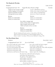#### **The Shepherds Worship**

Angels we have heard on high sweetly singing o'er the plains, and the mountains in reply echoing their joyous strains.

Refrain: Gloria, in excelsis Deo! Gloria, in excelsis Deo!

Congregational Carol 155 Angels We Have Heard on High GLORIA

Come to Bethlehem and see Christ, who comes in lowly birth. Come, adore on bended knee Jesus, joy of heav'n and earth.

Refrain: Gloria, in excelsis Deo! Gloria, in excelsis Deo!

See within a manger laid, Christ, whom choirs of angels praise; Mary, Joseph, lend your aid, while our hearts in love we raise.

Refrain: Gloria, in excelsis Deo! Gloria, in excelsis Deo!

Words: Traditional French carol; tr. *Crown of Jesus, 1862*, alt. Music: French carol melody; arr. Edward Shippen Barns, 1937 Harm. Austin C. Lovelace, 1964, alt.; dec. Richard E. Gerig, 1956

#### **The Word Made Flesh**

| Scripture | from John 1 and 3 |
|-----------|-------------------|
|-----------|-------------------|

| Congregational Carol 143                | Joy to the World                                 | ANTIOCH |
|-----------------------------------------|--------------------------------------------------|---------|
| Joy to the world, the Lord is come!     | Joy to the world, the Savior reigns!             |         |
| Let earth receive her King;             | Let all their songs employ;                      |         |
| let every heart prepare him room,       | while fields and floods, rocks, hills and plains |         |
| and heaven and nature sing,             | repeat the sounding joy,                         |         |
| and heaven and nature sing,             | repeat the sounding joy,                         |         |
| and heaven, and heaven and nature sing. | repeat, repeat the sounding joy.                 |         |
|                                         |                                                  |         |

He rules the world with truth and grace, and makes the nations prove the glories of his righteousness, and wonders of his love, and wonders of his love, and wonders, wonders of his love.

Words: Isaac Watts, 1719 Music: attr. George Frederick Handel, 1741; arr. Lowell Mason, 1848

#### Scripture Luke 2:15-20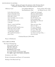#### INVITATION TO GIVING

*Tonight's offering will support the ministries of the Christian Church in Indiana, including camper scholarships and peace ministries.*

In the bleak mid-winter Frosty wind made moan; Earth stood hard as iron, Water like a stone; Snow had fallen, snow on snow, Snow on snow, In the bleak mid-winter Long ago. Heaven cannot hold Him Nor earth sustain, Heaven and earth shall flee away When He comes to reign: In the bleak mid-winter A stable-place sufficed The Lord God incarnate — Jesus Christ. Angels and Archangels May have gathered there, Cherubim and seraphim Thronged the air; But His Mother only, In her maiden bliss Worshipped the Beloved With a kiss. What can I give Him, Poor as I am? — If I were a Shepherd I would bring a lamb; If I were a Wise Man I would do my part, — Yet what I can I give Him, -Give my heart. Offertory Carol In the Bleak Midwinter Gustav Holst (1874-1934) Sara Bredemeyer, flute arr. Robert Lau (b. 1943)

-Christina Rossetti (1830-1894)

Prayer of Dedication

#### THE LORD'S SUPPER

The Great Thanksgiving The Lord be with you. **And also with you.** Lift up your hearts. **We lift them up to God.** Let us give thanks to God most high. **It is right to give God thanks and praise.**

Invitation to the Table

Words of Institution and Prayer of Consecration

Sharing of the Bread and Cup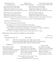| 13th Century French Carol<br>Manger Carol                                                        |
|--------------------------------------------------------------------------------------------------|
| Joseph Andreola, baritone<br>arr. Leo Sowerby (1895-1968)                                        |
| Here betwixt rose and lily white,                                                                |
| Sleep, sleep, sleep my son tonight.                                                              |
| Angels from on high, hover in the sky                                                            |
| Keeping watch above the incarnate God of love.<br>Keeping watch above the incarnate God of love. |
| On this fair night of holy joy,<br>Sleep clean clean my little how                               |
|                                                                                                  |

Sleep, sleep in your mother's arms. Angels from on high hover in the sky. Keeping watch above the incarnate God of love. Sleep, sleep, sleep my little boy. Angels from on high, hover in the sky Keeping watch above the incarnate God of love

-Traditional French 13th Century Carol: trans. Charles Winfred Douglas

Partaking of the Bread and Cup

Prayer of Thanksgiving and Lord's Prayer

Our Father, who art in Heaven, hallowed be Thy name; Thy Kingdom come, Thy will be done, on earth, as it is in heaven. Give us this day our daily bread, and forgive us our debts as we forgive our debtors; And lead us not into temptation, but deliver us from evil. For Thine is the kingdom, and the power, and the glory forever. Amen.

## SPREADING THE LIGHT OF CHRIST TO THE WORLD

## Scripture John 1:1-5 Congregational Carol 145 Silent Night STILLE NACHT Choir: Stille Nacht, heilige Nacht, alles schläft, einsam wacht. Nur das traute hochheilige Paar, holder Knabe im lockigen Haar. Schlaf in himmlischer Ruh, schlaf in himmlischer Ruh.

(*Raise up candle*)

Congregation:

|                                             |                                   | $\left($ + $\cdots$ $\left($ $\cdots$ $\right)$ $\cdots$ $\cdots$ $\cdots$ $\cdots$ $\cdots$ |  |  |  |
|---------------------------------------------|-----------------------------------|----------------------------------------------------------------------------------------------|--|--|--|
| Silent night, holy night,                   | Silent Night, holy night,         | Silent night, holy night,                                                                    |  |  |  |
| all is calm, all is bright                  | Son of God, Love's pure light     | wondrous star, lend thy light;                                                               |  |  |  |
| 'round yon virgin mother and child,         | Radiant beams from thy holy face  | with the angels let us sing,                                                                 |  |  |  |
| holy infant so tender and mild.             | with the dawn of redeeming grace, | alleluia to our King;                                                                        |  |  |  |
| Sleep in heavenly peace,                    | Jesus, Lord at thy birth,         | Christ, the Savior, is born,                                                                 |  |  |  |
| sleep in heavenly peace.                    | Jesus, Lord at thy birth.         | Christ, the Savior, is born.                                                                 |  |  |  |
| Words: Joseph Mohr. 1818: tr. John E. Young |                                   |                                                                                              |  |  |  |

rom, 1818, u. joint F. Toung Music: Franz Gruber, 1818 arr. Raymond Leppard (1927-1919) – in memoriam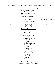#### BLESSING AND BENEDICTION

Choral Response Thee with Tender Care (from *Christmas Oratorio, part 3*) J.S. Bach

(1685-1750)

Thee with tender care I'll cherish; Live to thee, die to thee: Thus I shall not perish, but with thee abide forever, joyfully, peacefully, where life endeth never.

POSTLUDE The Rejoicing George Frederic Handel Mary Ruth Yates, organ



## **Worship Participants**

Rev. Helen Hempfling Rev. Bruce Ervin **Readers** Susan Maxwell-Lewis Jack Maxwell **Lighting of the Candles** Mitzi Flynn

Jono Palmer, Bell Choir Director Mary Ruth Yates, Organ Ginny Jones, Violin

#### **Bell Choir**

Cathy Allman Bonnie Fye Ginny Jones Christie Maxwell Ashley Maxwell Mona Miller Jackie Robbins Mary Ruth Yates

Ashlyn Reynolds, Photography & Graphics Jono Palmer, Video and Audio Editing